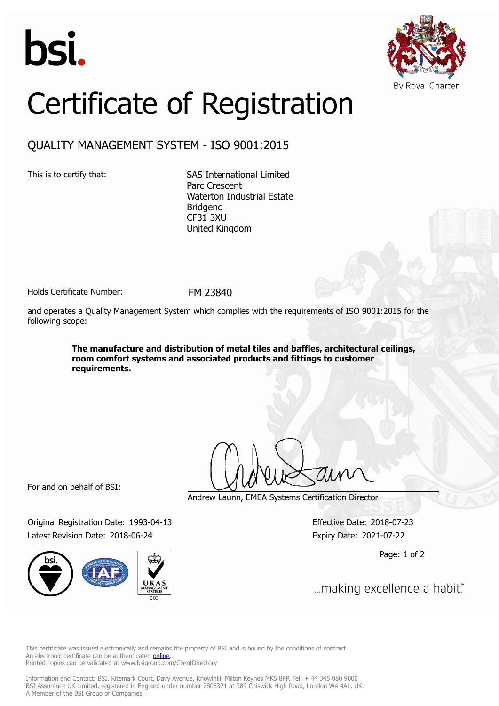



## Certificate of Registration

## QUALITY MANAGEMENT SYSTEM - ISO 9001:2015

This is to certify that: SAS International Limited Parc Crescent Waterton Industrial Estate Bridgend CF31 3XU United Kingdom

Holds Certificate Number: FM 23840

and operates a Quality Management System which complies with the requirements of ISO 9001:2015 for the following scope:

> **The manufacture and distribution of metal tiles and baffles, architectural ceilings, room comfort systems and associated products and fittings to customer requirements.**

For and on behalf of BSI:

Original Registration Date: 1993-04-13 Effective Date: 2018-07-23 Latest Revision Date: 2018-06-24 Expiry Date: 2021-07-22



Andrew Launn, EMEA Systems Certification Director

Page: 1 of 2

... making excellence a habit."

This certificate was issued electronically and remains the property of BSI and is bound by the conditions of contract. An electronic certificate can be authenticated **[online](https://pgplus.bsigroup.com/CertificateValidation/CertificateValidator.aspx?CertificateNumber=FM+23840&ReIssueDate=24%2f06%2f2018&Template=uk)**. Printed copies can be validated at www.bsigroup.com/ClientDirectory

Information and Contact: BSI, Kitemark Court, Davy Avenue, Knowlhill, Milton Keynes MK5 8PP. Tel: + 44 345 080 9000 BSI Assurance UK Limited, registered in England under number 7805321 at 389 Chiswick High Road, London W4 4AL, UK. A Member of the BSI Group of Companies.